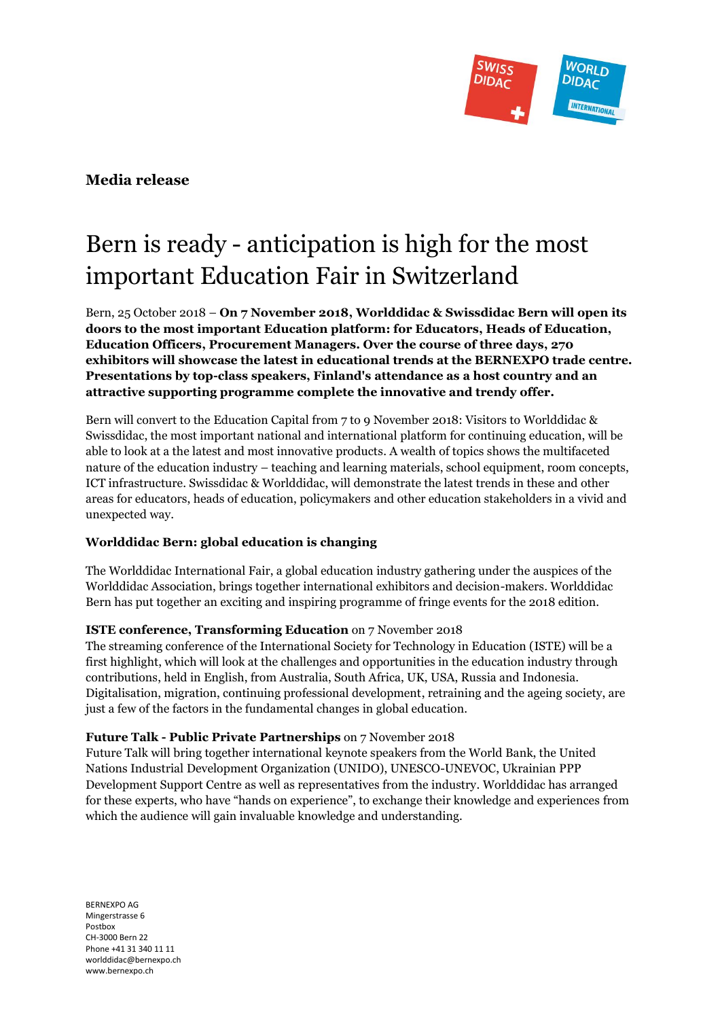

# **Media release**

# Bern is ready - anticipation is high for the most important Education Fair in Switzerland

Bern, 25 October 2018 – **On 7 November 2018, Worlddidac & Swissdidac Bern will open its doors to the most important Education platform: for Educators, Heads of Education, Education Officers, Procurement Managers. Over the course of three days, 270 exhibitors will showcase the latest in educational trends at the BERNEXPO trade centre. Presentations by top-class speakers, Finland's attendance as a host country and an attractive supporting programme complete the innovative and trendy offer.**

Bern will convert to the Education Capital from 7 to 9 November 2018: Visitors to Worlddidac & Swissdidac, the most important national and international platform for continuing education, will be able to look at a the latest and most innovative products. A wealth of topics shows the multifaceted nature of the education industry – teaching and learning materials, school equipment, room concepts, ICT infrastructure. Swissdidac & Worlddidac, will demonstrate the latest trends in these and other areas for educators, heads of education, policymakers and other education stakeholders in a vivid and unexpected way.

# **Worlddidac Bern: global education is changing**

The Worlddidac International Fair, a global education industry gathering under the auspices of the Worlddidac Association, brings together international exhibitors and decision-makers. Worlddidac Bern has put together an exciting and inspiring programme of fringe events for the 2018 edition.

# **ISTE conference, Transforming Education** on 7 November 2018

The streaming conference of the International Society for Technology in Education (ISTE) will be a first highlight, which will look at the challenges and opportunities in the education industry through contributions, held in English, from Australia, South Africa, UK, USA, Russia and Indonesia. Digitalisation, migration, continuing professional development, retraining and the ageing society, are just a few of the factors in the fundamental changes in global education.

# **Future Talk - Public Private Partnerships** on 7 November 2018

Future Talk will bring together international keynote speakers from the World Bank, the United Nations Industrial Development Organization (UNIDO), UNESCO-UNEVOC, Ukrainian PPP Development Support Centre as well as representatives from the industry. Worlddidac has arranged for these experts, who have "hands on experience", to exchange their knowledge and experiences from which the audience will gain invaluable knowledge and understanding.

BERNEXPO AG Mingerstrasse 6 Postbox CH-3000 Bern 22 Phone +41 31 340 11 11 worlddidac@bernexpo.ch www.bernexpo.ch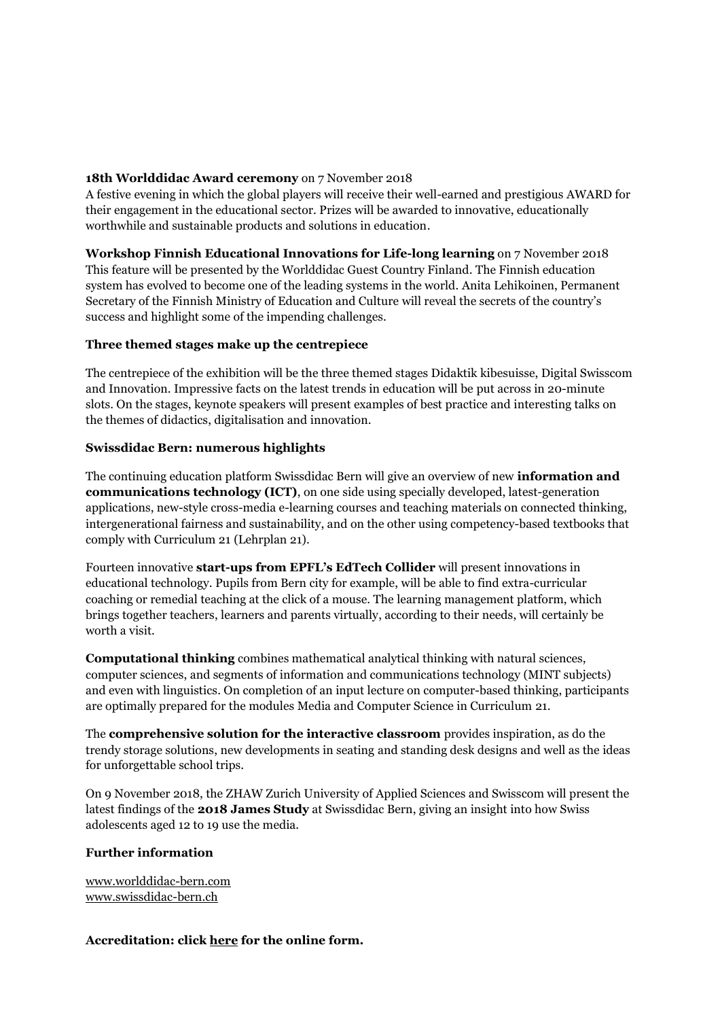#### **18th Worlddidac Award ceremony** on 7 November 2018

A festive evening in which the global players will receive their well-earned and prestigious AWARD for their engagement in the educational sector. Prizes will be awarded to innovative, educationally worthwhile and sustainable products and solutions in education.

**Workshop Finnish Educational Innovations for Life-long learning** on 7 November 2018 This feature will be presented by the Worlddidac Guest Country Finland. The Finnish education system has evolved to become one of the leading systems in the world. Anita Lehikoinen, Permanent Secretary of the Finnish Ministry of Education and Culture will reveal the secrets of the country's success and highlight some of the impending challenges.

#### **Three themed stages make up the centrepiece**

The centrepiece of the exhibition will be the three themed stages Didaktik kibesuisse, Digital Swisscom and Innovation. Impressive facts on the latest trends in education will be put across in 20-minute slots. On the stages, keynote speakers will present examples of best practice and interesting talks on the themes of didactics, digitalisation and innovation.

#### **Swissdidac Bern: numerous highlights**

The continuing education platform Swissdidac Bern will give an overview of new **information and communications technology (ICT)**, on one side using specially developed, latest-generation applications, new-style cross-media e-learning courses and teaching materials on connected thinking, intergenerational fairness and sustainability, and on the other using competency-based textbooks that comply with Curriculum 21 (Lehrplan 21).

Fourteen innovative **start-ups from EPFL's EdTech Collider** will present innovations in educational technology. Pupils from Bern city for example, will be able to find extra-curricular coaching or remedial teaching at the click of a mouse. The learning management platform, which brings together teachers, learners and parents virtually, according to their needs, will certainly be worth a visit.

**Computational thinking** combines mathematical analytical thinking with natural sciences, computer sciences, and segments of information and communications technology (MINT subjects) and even with linguistics. On completion of an input lecture on computer-based thinking, participants are optimally prepared for the modules Media and Computer Science in Curriculum 21.

The **comprehensive solution for the interactive classroom** provides inspiration, as do the trendy storage solutions, new developments in seating and standing desk designs and well as the ideas for unforgettable school trips.

On 9 November 2018, the ZHAW Zurich University of Applied Sciences and Swisscom will present the latest findings of the **2018 James Study** at Swissdidac Bern, giving an insight into how Swiss adolescents aged 12 to 19 use the media.

# **Further information**

[www.worlddidac-bern.com](http://www.worlddidac-bern.ch/) [www.swissdidac-bern.ch](http://www.swissdidac-bern.ch/)

**Accreditation: click [here](https://www.worlddidac-bern.com/wdd-en/media/accreditation.aspx) for the online form.**